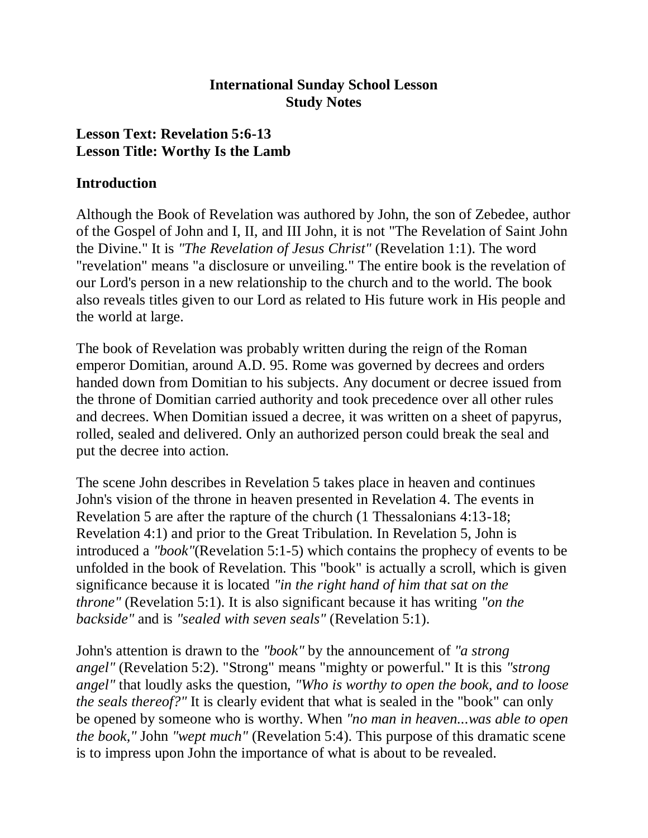### **International Sunday School Lesson Study Notes**

## **Lesson Text: Revelation 5:6-13 Lesson Title: Worthy Is the Lamb**

### **Introduction**

Although the Book of Revelation was authored by John, the son of Zebedee, author of the Gospel of John and I, II, and III John, it is not "The Revelation of Saint John the Divine." It is *"The Revelation of Jesus Christ"* (Revelation 1:1). The word "revelation" means "a disclosure or unveiling." The entire book is the revelation of our Lord's person in a new relationship to the church and to the world. The book also reveals titles given to our Lord as related to His future work in His people and the world at large.

The book of Revelation was probably written during the reign of the Roman emperor Domitian, around A.D. 95. Rome was governed by decrees and orders handed down from Domitian to his subjects. Any document or decree issued from the throne of Domitian carried authority and took precedence over all other rules and decrees. When Domitian issued a decree, it was written on a sheet of papyrus, rolled, sealed and delivered. Only an authorized person could break the seal and put the decree into action.

The scene John describes in Revelation 5 takes place in heaven and continues John's vision of the throne in heaven presented in Revelation 4. The events in Revelation 5 are after the rapture of the church (1 Thessalonians 4:13-18; Revelation 4:1) and prior to the Great Tribulation. In Revelation 5, John is introduced a *"book"*(Revelation 5:1-5) which contains the prophecy of events to be unfolded in the book of Revelation. This "book" is actually a scroll, which is given significance because it is located *"in the right hand of him that sat on the throne"* (Revelation 5:1). It is also significant because it has writing *"on the backside"* and is *"sealed with seven seals"* (Revelation 5:1).

John's attention is drawn to the *"book"* by the announcement of *"a strong angel"* (Revelation 5:2). "Strong" means "mighty or powerful." It is this *"strong angel"* that loudly asks the question, *"Who is worthy to open the book, and to loose the seals thereof?*" It is clearly evident that what is sealed in the "book" can only be opened by someone who is worthy. When *"no man in heaven...was able to open the book,"* John *"wept much"* (Revelation 5:4). This purpose of this dramatic scene is to impress upon John the importance of what is about to be revealed.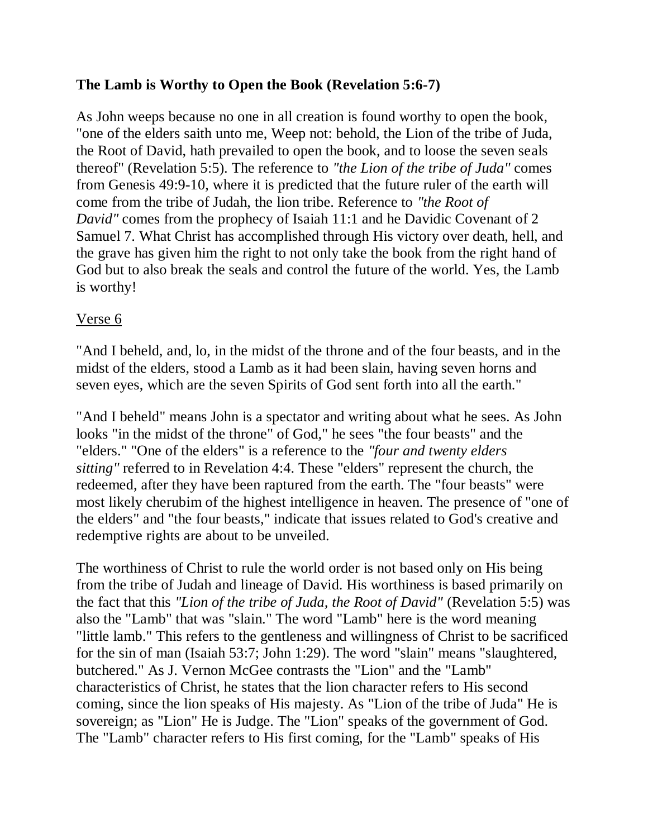## **The Lamb is Worthy to Open the Book (Revelation 5:6-7)**

As John weeps because no one in all creation is found worthy to open the book, "one of the elders saith unto me, Weep not: behold, the Lion of the tribe of Juda, the Root of David, hath prevailed to open the book, and to loose the seven seals thereof" (Revelation 5:5). The reference to *"the Lion of the tribe of Juda"* comes from Genesis 49:9-10, where it is predicted that the future ruler of the earth will come from the tribe of Judah, the lion tribe. Reference to *"the Root of David"* comes from the prophecy of Isaiah 11:1 and he Davidic Covenant of 2 Samuel 7. What Christ has accomplished through His victory over death, hell, and the grave has given him the right to not only take the book from the right hand of God but to also break the seals and control the future of the world. Yes, the Lamb is worthy!

### Verse 6

"And I beheld, and, lo, in the midst of the throne and of the four beasts, and in the midst of the elders, stood a Lamb as it had been slain, having seven horns and seven eyes, which are the seven Spirits of God sent forth into all the earth."

"And I beheld" means John is a spectator and writing about what he sees. As John looks "in the midst of the throne" of God," he sees "the four beasts" and the "elders." "One of the elders" is a reference to the *"four and twenty elders sitting"* referred to in Revelation 4:4. These "elders" represent the church, the redeemed, after they have been raptured from the earth. The "four beasts" were most likely cherubim of the highest intelligence in heaven. The presence of "one of the elders" and "the four beasts," indicate that issues related to God's creative and redemptive rights are about to be unveiled.

The worthiness of Christ to rule the world order is not based only on His being from the tribe of Judah and lineage of David. His worthiness is based primarily on the fact that this *"Lion of the tribe of Juda, the Root of David"* (Revelation 5:5) was also the "Lamb" that was "slain." The word "Lamb" here is the word meaning "little lamb." This refers to the gentleness and willingness of Christ to be sacrificed for the sin of man (Isaiah 53:7; John 1:29). The word "slain" means "slaughtered, butchered." As J. Vernon McGee contrasts the "Lion" and the "Lamb" characteristics of Christ, he states that the lion character refers to His second coming, since the lion speaks of His majesty. As "Lion of the tribe of Juda" He is sovereign; as "Lion" He is Judge. The "Lion" speaks of the government of God. The "Lamb" character refers to His first coming, for the "Lamb" speaks of His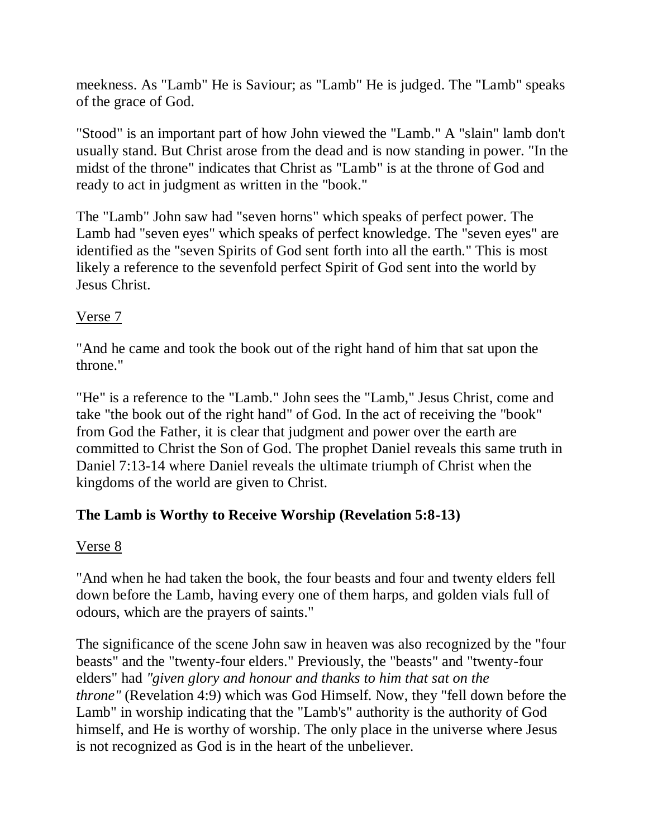meekness. As "Lamb" He is Saviour; as "Lamb" He is judged. The "Lamb" speaks of the grace of God.

"Stood" is an important part of how John viewed the "Lamb." A "slain" lamb don't usually stand. But Christ arose from the dead and is now standing in power. "In the midst of the throne" indicates that Christ as "Lamb" is at the throne of God and ready to act in judgment as written in the "book."

The "Lamb" John saw had "seven horns" which speaks of perfect power. The Lamb had "seven eyes" which speaks of perfect knowledge. The "seven eyes" are identified as the "seven Spirits of God sent forth into all the earth." This is most likely a reference to the sevenfold perfect Spirit of God sent into the world by Jesus Christ.

# Verse 7

"And he came and took the book out of the right hand of him that sat upon the throne."

"He" is a reference to the "Lamb." John sees the "Lamb," Jesus Christ, come and take "the book out of the right hand" of God. In the act of receiving the "book" from God the Father, it is clear that judgment and power over the earth are committed to Christ the Son of God. The prophet Daniel reveals this same truth in Daniel 7:13-14 where Daniel reveals the ultimate triumph of Christ when the kingdoms of the world are given to Christ.

# **The Lamb is Worthy to Receive Worship (Revelation 5:8-13)**

## Verse 8

"And when he had taken the book, the four beasts and four and twenty elders fell down before the Lamb, having every one of them harps, and golden vials full of odours, which are the prayers of saints."

The significance of the scene John saw in heaven was also recognized by the "four beasts" and the "twenty-four elders." Previously, the "beasts" and "twenty-four elders" had *"given glory and honour and thanks to him that sat on the throne"* (Revelation 4:9) which was God Himself. Now, they "fell down before the Lamb" in worship indicating that the "Lamb's" authority is the authority of God himself, and He is worthy of worship. The only place in the universe where Jesus is not recognized as God is in the heart of the unbeliever.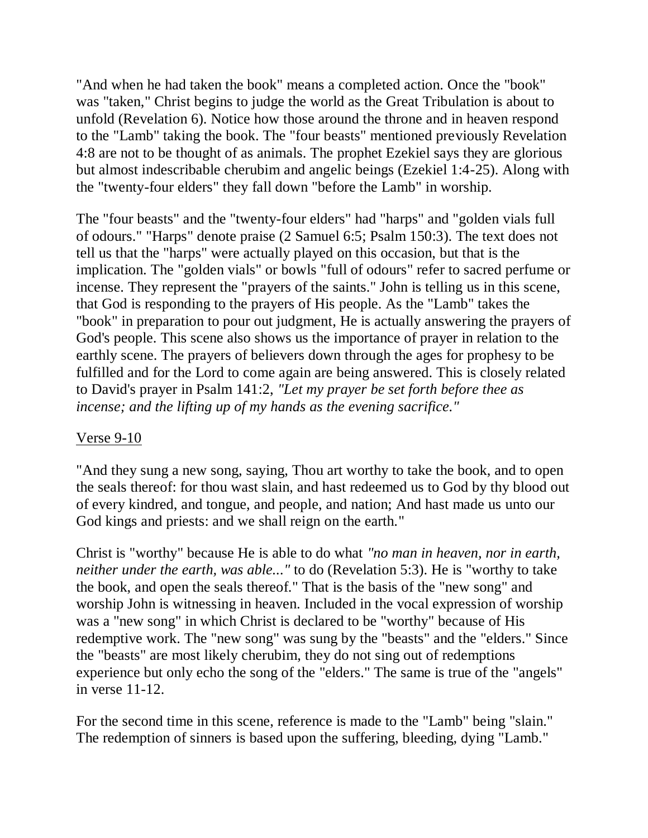"And when he had taken the book" means a completed action. Once the "book" was "taken," Christ begins to judge the world as the Great Tribulation is about to unfold (Revelation 6). Notice how those around the throne and in heaven respond to the "Lamb" taking the book. The "four beasts" mentioned previously Revelation 4:8 are not to be thought of as animals. The prophet Ezekiel says they are glorious but almost indescribable cherubim and angelic beings (Ezekiel 1:4-25). Along with the "twenty-four elders" they fall down "before the Lamb" in worship.

The "four beasts" and the "twenty-four elders" had "harps" and "golden vials full of odours." "Harps" denote praise (2 Samuel 6:5; Psalm 150:3). The text does not tell us that the "harps" were actually played on this occasion, but that is the implication. The "golden vials" or bowls "full of odours" refer to sacred perfume or incense. They represent the "prayers of the saints." John is telling us in this scene, that God is responding to the prayers of His people. As the "Lamb" takes the "book" in preparation to pour out judgment, He is actually answering the prayers of God's people. This scene also shows us the importance of prayer in relation to the earthly scene. The prayers of believers down through the ages for prophesy to be fulfilled and for the Lord to come again are being answered. This is closely related to David's prayer in Psalm 141:2, *"Let my prayer be set forth before thee as incense; and the lifting up of my hands as the evening sacrifice."*

### Verse 9-10

"And they sung a new song, saying, Thou art worthy to take the book, and to open the seals thereof: for thou wast slain, and hast redeemed us to God by thy blood out of every kindred, and tongue, and people, and nation; And hast made us unto our God kings and priests: and we shall reign on the earth."

Christ is "worthy" because He is able to do what *"no man in heaven, nor in earth, neither under the earth, was able..."* to do (Revelation 5:3). He is "worthy to take the book, and open the seals thereof." That is the basis of the "new song" and worship John is witnessing in heaven. Included in the vocal expression of worship was a "new song" in which Christ is declared to be "worthy" because of His redemptive work. The "new song" was sung by the "beasts" and the "elders." Since the "beasts" are most likely cherubim, they do not sing out of redemptions experience but only echo the song of the "elders." The same is true of the "angels" in verse 11-12.

For the second time in this scene, reference is made to the "Lamb" being "slain." The redemption of sinners is based upon the suffering, bleeding, dying "Lamb."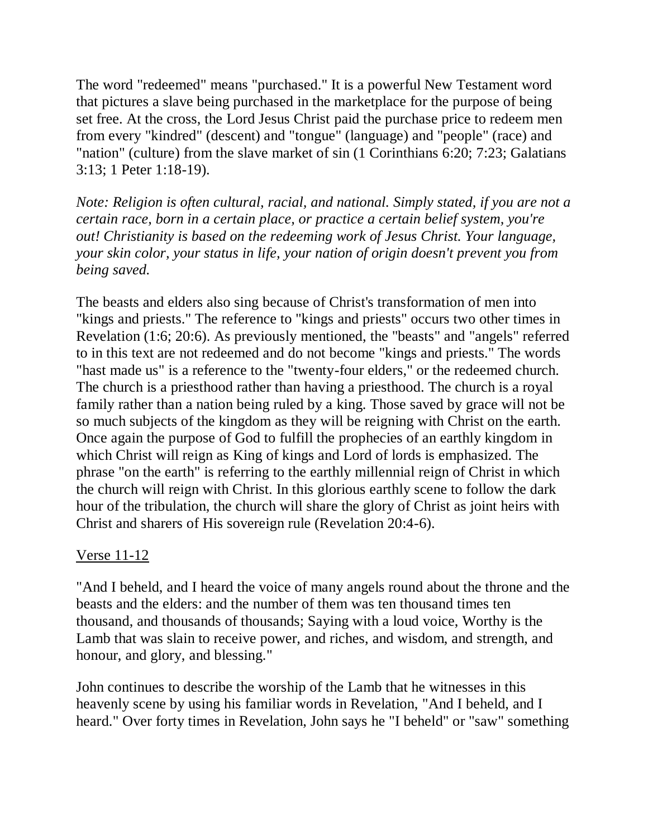The word "redeemed" means "purchased." It is a powerful New Testament word that pictures a slave being purchased in the marketplace for the purpose of being set free. At the cross, the Lord Jesus Christ paid the purchase price to redeem men from every "kindred" (descent) and "tongue" (language) and "people" (race) and "nation" (culture) from the slave market of sin (1 Corinthians 6:20; 7:23; Galatians 3:13; 1 Peter 1:18-19).

*Note: Religion is often cultural, racial, and national. Simply stated, if you are not a certain race, born in a certain place, or practice a certain belief system, you're out! Christianity is based on the redeeming work of Jesus Christ. Your language, your skin color, your status in life, your nation of origin doesn't prevent you from being saved.*

The beasts and elders also sing because of Christ's transformation of men into "kings and priests." The reference to "kings and priests" occurs two other times in Revelation (1:6; 20:6). As previously mentioned, the "beasts" and "angels" referred to in this text are not redeemed and do not become "kings and priests." The words "hast made us" is a reference to the "twenty-four elders," or the redeemed church. The church is a priesthood rather than having a priesthood. The church is a royal family rather than a nation being ruled by a king. Those saved by grace will not be so much subjects of the kingdom as they will be reigning with Christ on the earth. Once again the purpose of God to fulfill the prophecies of an earthly kingdom in which Christ will reign as King of kings and Lord of lords is emphasized. The phrase "on the earth" is referring to the earthly millennial reign of Christ in which the church will reign with Christ. In this glorious earthly scene to follow the dark hour of the tribulation, the church will share the glory of Christ as joint heirs with Christ and sharers of His sovereign rule (Revelation 20:4-6).

## Verse 11-12

"And I beheld, and I heard the voice of many angels round about the throne and the beasts and the elders: and the number of them was ten thousand times ten thousand, and thousands of thousands; Saying with a loud voice, Worthy is the Lamb that was slain to receive power, and riches, and wisdom, and strength, and honour, and glory, and blessing."

John continues to describe the worship of the Lamb that he witnesses in this heavenly scene by using his familiar words in Revelation, "And I beheld, and I heard." Over forty times in Revelation, John says he "I beheld" or "saw" something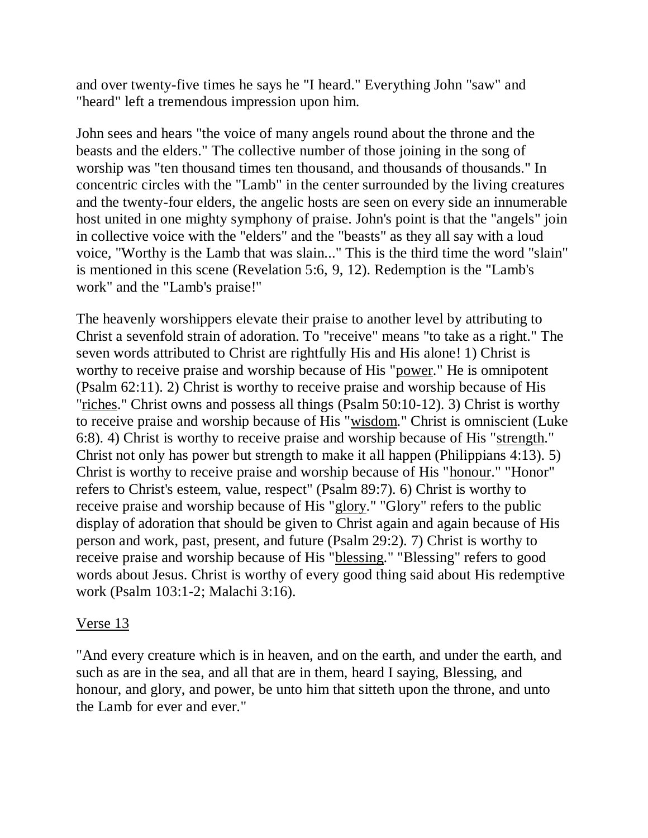and over twenty-five times he says he "I heard." Everything John "saw" and "heard" left a tremendous impression upon him.

John sees and hears "the voice of many angels round about the throne and the beasts and the elders." The collective number of those joining in the song of worship was "ten thousand times ten thousand, and thousands of thousands." In concentric circles with the "Lamb" in the center surrounded by the living creatures and the twenty-four elders, the angelic hosts are seen on every side an innumerable host united in one mighty symphony of praise. John's point is that the "angels" join in collective voice with the "elders" and the "beasts" as they all say with a loud voice, "Worthy is the Lamb that was slain..." This is the third time the word "slain" is mentioned in this scene (Revelation 5:6, 9, 12). Redemption is the "Lamb's work" and the "Lamb's praise!"

The heavenly worshippers elevate their praise to another level by attributing to Christ a sevenfold strain of adoration. To "receive" means "to take as a right." The seven words attributed to Christ are rightfully His and His alone! 1) Christ is worthy to receive praise and worship because of His "power." He is omnipotent (Psalm 62:11). 2) Christ is worthy to receive praise and worship because of His "riches." Christ owns and possess all things (Psalm 50:10-12). 3) Christ is worthy to receive praise and worship because of His "wisdom." Christ is omniscient (Luke 6:8). 4) Christ is worthy to receive praise and worship because of His "strength." Christ not only has power but strength to make it all happen (Philippians 4:13). 5) Christ is worthy to receive praise and worship because of His "honour." "Honor" refers to Christ's esteem, value, respect" (Psalm 89:7). 6) Christ is worthy to receive praise and worship because of His "glory." "Glory" refers to the public display of adoration that should be given to Christ again and again because of His person and work, past, present, and future (Psalm 29:2). 7) Christ is worthy to receive praise and worship because of His "blessing." "Blessing" refers to good words about Jesus. Christ is worthy of every good thing said about His redemptive work (Psalm 103:1-2; Malachi 3:16).

### Verse 13

"And every creature which is in heaven, and on the earth, and under the earth, and such as are in the sea, and all that are in them, heard I saying, Blessing, and honour, and glory, and power, be unto him that sitteth upon the throne, and unto the Lamb for ever and ever."